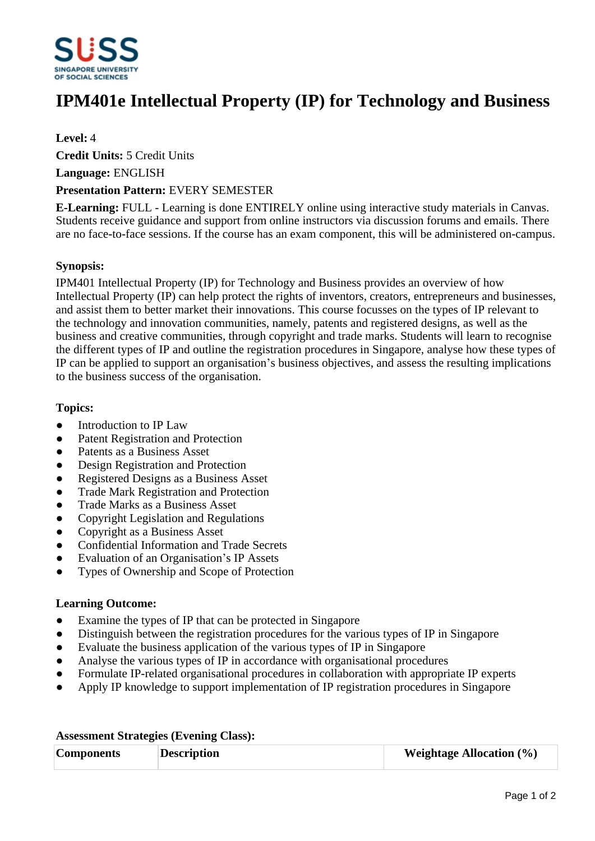

# **IPM401e Intellectual Property (IP) for Technology and Business**

## **Level:** 4

**Credit Units:** 5 Credit Units

**Language:** ENGLISH

#### **Presentation Pattern:** EVERY SEMESTER

**E-Learning:** FULL - Learning is done ENTIRELY online using interactive study materials in Canvas. Students receive guidance and support from online instructors via discussion forums and emails. There are no face-to-face sessions. If the course has an exam component, this will be administered on-campus.

## **Synopsis:**

IPM401 Intellectual Property (IP) for Technology and Business provides an overview of how Intellectual Property (IP) can help protect the rights of inventors, creators, entrepreneurs and businesses, and assist them to better market their innovations. This course focusses on the types of IP relevant to the technology and innovation communities, namely, patents and registered designs, as well as the business and creative communities, through copyright and trade marks. Students will learn to recognise the different types of IP and outline the registration procedures in Singapore, analyse how these types of IP can be applied to support an organisation's business objectives, and assess the resulting implications to the business success of the organisation.

## **Topics:**

- Introduction to IP Law
- Patent Registration and Protection
- Patents as a Business Asset
- Design Registration and Protection
- Registered Designs as a Business Asset
- Trade Mark Registration and Protection
- Trade Marks as a Business Asset
- ƔCopyright Legislation and Regulations
- Copyright as a Business Asset
- Confidential Information and Trade Secrets
- Evaluation of an Organisation's IP Assets
- ƔTypes of Ownership and Scope of Protection

#### **Learning Outcome:**

- Examine the types of IP that can be protected in Singapore
- Distinguish between the registration procedures for the various types of IP in Singapore
- Evaluate the business application of the various types of IP in Singapore
- Analyse the various types of IP in accordance with organisational procedures
- Formulate IP-related organisational procedures in collaboration with appropriate IP experts
- Apply IP knowledge to support implementation of IP registration procedures in Singapore

| <b>Components</b> | <b>Description</b> | <b>Weightage Allocation</b> $(\%)$ |  |
|-------------------|--------------------|------------------------------------|--|

#### **Assessment Strategies (Evening Class):**